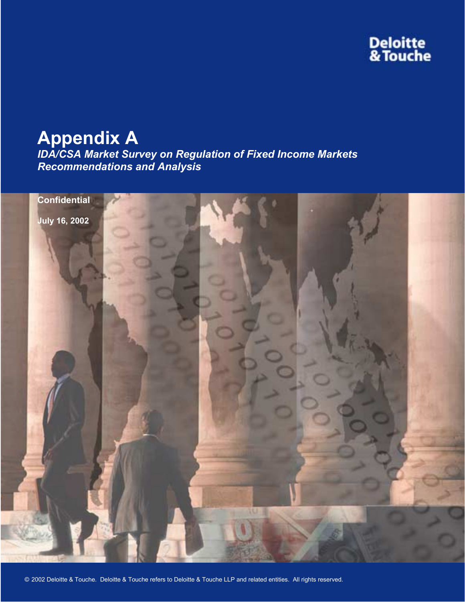# **Deloitte<br>& Touche**

# **Appendix A**

*IDA/CSA Market Survey on Regulation of Fixed Income Markets Recommendations and Analysis* 

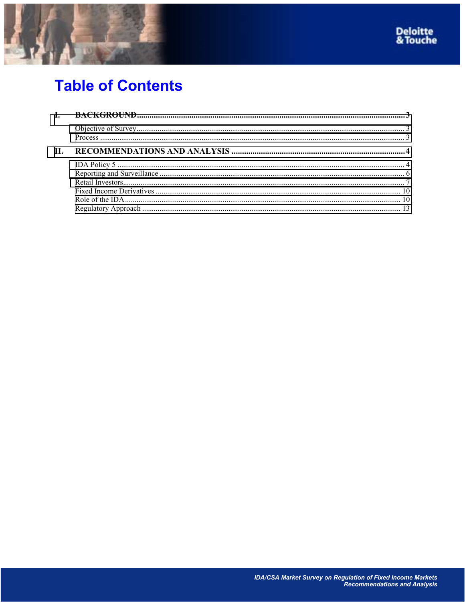



# **Table of Contents**

| II. |  |
|-----|--|
|     |  |
|     |  |
|     |  |
|     |  |
|     |  |
|     |  |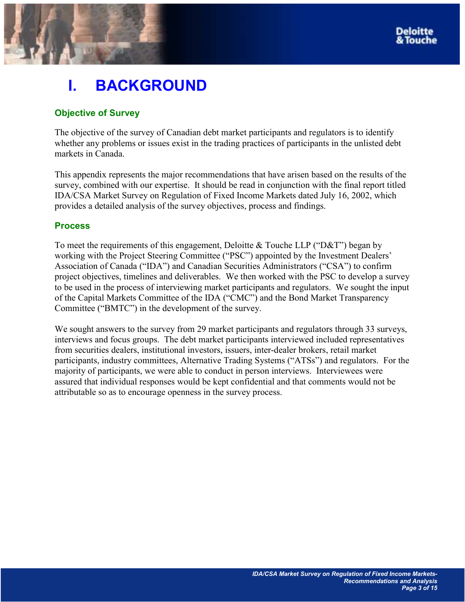# <span id="page-2-0"></span>**I. BACKGROUND**

# **Objective of Survey**

The objective of the survey of Canadian debt market participants and regulators is to identify whether any problems or issues exist in the trading practices of participants in the unlisted debt markets in Canada.

This appendix represents the major recommendations that have arisen based on the results of the survey, combined with our expertise. It should be read in conjunction with the final report titled IDA/CSA Market Survey on Regulation of Fixed Income Markets dated July 16, 2002, which provides a detailed analysis of the survey objectives, process and findings.

# **Process**

To meet the requirements of this engagement, Deloitte & Touche LLP ("D&T") began by working with the Project Steering Committee ("PSC") appointed by the Investment Dealers' Association of Canada ("IDA") and Canadian Securities Administrators ("CSA") to confirm project objectives, timelines and deliverables. We then worked with the PSC to develop a survey to be used in the process of interviewing market participants and regulators. We sought the input of the Capital Markets Committee of the IDA ("CMC") and the Bond Market Transparency Committee ("BMTC") in the development of the survey.

We sought answers to the survey from 29 market participants and regulators through 33 surveys, interviews and focus groups. The debt market participants interviewed included representatives from securities dealers, institutional investors, issuers, inter-dealer brokers, retail market participants, industry committees, Alternative Trading Systems ("ATSs") and regulators. For the majority of participants, we were able to conduct in person interviews. Interviewees were assured that individual responses would be kept confidential and that comments would not be attributable so as to encourage openness in the survey process.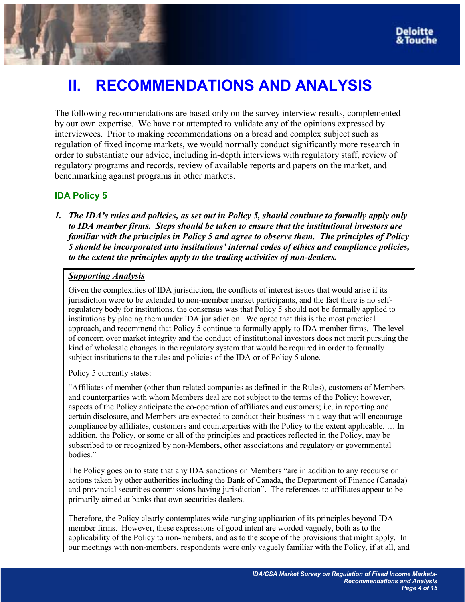# <span id="page-3-0"></span>**II. RECOMMENDATIONS AND ANALYSIS**

The following recommendations are based only on the survey interview results, complemented by our own expertise. We have not attempted to validate any of the opinions expressed by interviewees. Prior to making recommendations on a broad and complex subject such as regulation of fixed income markets, we would normally conduct significantly more research in order to substantiate our advice, including in-depth interviews with regulatory staff, review of regulatory programs and records, review of available reports and papers on the market, and benchmarking against programs in other markets.

# **IDA Policy 5**

*1. The IDAís rules and policies, as set out in Policy 5, should continue to formally apply only to IDA member firms. Steps should be taken to ensure that the institutional investors are familiar with the principles in Policy 5 and agree to observe them. The principles of Policy 5 should be incorporated into institutions' internal codes of ethics and compliance policies, to the extent the principles apply to the trading activities of non-dealers.* 

#### *Supporting Analysis*

Given the complexities of IDA jurisdiction, the conflicts of interest issues that would arise if its jurisdiction were to be extended to non-member market participants, and the fact there is no selfregulatory body for institutions, the consensus was that Policy 5 should not be formally applied to institutions by placing them under IDA jurisdiction. We agree that this is the most practical approach, and recommend that Policy 5 continue to formally apply to IDA member firms. The level of concern over market integrity and the conduct of institutional investors does not merit pursuing the kind of wholesale changes in the regulatory system that would be required in order to formally subject institutions to the rules and policies of the IDA or of Policy 5 alone.

Policy 5 currently states:

ìAffiliates of member (other than related companies as defined in the Rules), customers of Members and counterparties with whom Members deal are not subject to the terms of the Policy; however, aspects of the Policy anticipate the co-operation of affiliates and customers; i.e. in reporting and certain disclosure, and Members are expected to conduct their business in a way that will encourage compliance by affiliates, customers and counterparties with the Policy to the extent applicable. ... In addition, the Policy, or some or all of the principles and practices reflected in the Policy, may be subscribed to or recognized by non-Members, other associations and regulatory or governmental bodies."

The Policy goes on to state that any IDA sanctions on Members "are in addition to any recourse or actions taken by other authorities including the Bank of Canada, the Department of Finance (Canada) and provincial securities commissions having jurisdiction". The references to affiliates appear to be primarily aimed at banks that own securities dealers.

Therefore, the Policy clearly contemplates wide-ranging application of its principles beyond IDA member firms. However, these expressions of good intent are worded vaguely, both as to the applicability of the Policy to non-members, and as to the scope of the provisions that might apply. In our meetings with non-members, respondents were only vaguely familiar with the Policy, if at all, and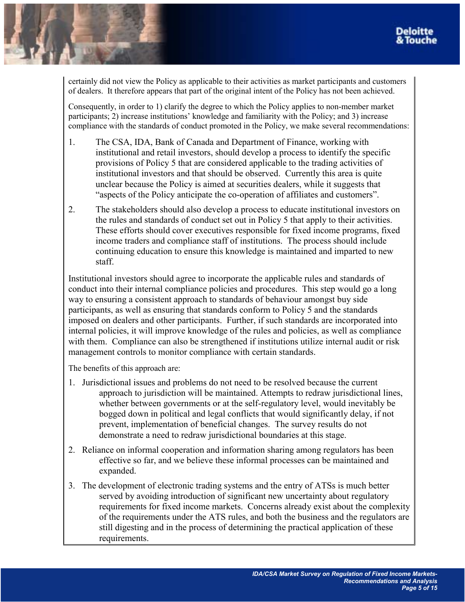certainly did not view the Policy as applicable to their activities as market participants and customers of dealers. It therefore appears that part of the original intent of the Policy has not been achieved.

Consequently, in order to 1) clarify the degree to which the Policy applies to non-member market participants;  $2$ ) increase institutions' knowledge and familiarity with the Policy; and 3) increase compliance with the standards of conduct promoted in the Policy, we make several recommendations:

- 1. The CSA, IDA, Bank of Canada and Department of Finance, working with institutional and retail investors, should develop a process to identify the specific provisions of Policy 5 that are considered applicable to the trading activities of institutional investors and that should be observed. Currently this area is quite unclear because the Policy is aimed at securities dealers, while it suggests that "aspects of the Policy anticipate the co-operation of affiliates and customers".
- 2. The stakeholders should also develop a process to educate institutional investors on the rules and standards of conduct set out in Policy 5 that apply to their activities. These efforts should cover executives responsible for fixed income programs, fixed income traders and compliance staff of institutions. The process should include continuing education to ensure this knowledge is maintained and imparted to new staff.

Institutional investors should agree to incorporate the applicable rules and standards of conduct into their internal compliance policies and procedures. This step would go a long way to ensuring a consistent approach to standards of behaviour amongst buy side participants, as well as ensuring that standards conform to Policy 5 and the standards imposed on dealers and other participants. Further, if such standards are incorporated into internal policies, it will improve knowledge of the rules and policies, as well as compliance with them. Compliance can also be strengthened if institutions utilize internal audit or risk management controls to monitor compliance with certain standards.

The benefits of this approach are:

- 1. Jurisdictional issues and problems do not need to be resolved because the current approach to jurisdiction will be maintained. Attempts to redraw jurisdictional lines, whether between governments or at the self-regulatory level, would inevitably be bogged down in political and legal conflicts that would significantly delay, if not prevent, implementation of beneficial changes. The survey results do not demonstrate a need to redraw jurisdictional boundaries at this stage.
- 2. Reliance on informal cooperation and information sharing among regulators has been effective so far, and we believe these informal processes can be maintained and expanded.
- 3. The development of electronic trading systems and the entry of ATSs is much better served by avoiding introduction of significant new uncertainty about regulatory requirements for fixed income markets. Concerns already exist about the complexity of the requirements under the ATS rules, and both the business and the regulators are still digesting and in the process of determining the practical application of these requirements.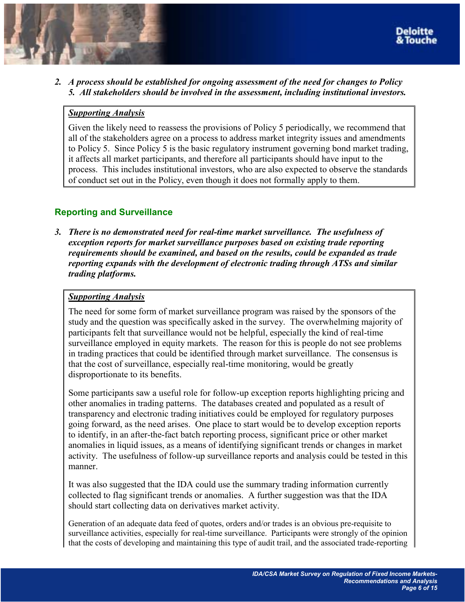

<span id="page-5-0"></span>*2. A process should be established for ongoing assessment of the need for changes to Policy 5. All stakeholders should be involved in the assessment, including institutional investors.* 

#### *Supporting Analysis*

Given the likely need to reassess the provisions of Policy 5 periodically, we recommend that all of the stakeholders agree on a process to address market integrity issues and amendments to Policy 5. Since Policy 5 is the basic regulatory instrument governing bond market trading, it affects all market participants, and therefore all participants should have input to the process. This includes institutional investors, who are also expected to observe the standards of conduct set out in the Policy, even though it does not formally apply to them.

# **Reporting and Surveillance**

*3. There is no demonstrated need for real-time market surveillance. The usefulness of exception reports for market surveillance purposes based on existing trade reporting requirements should be examined, and based on the results, could be expanded as trade reporting expands with the development of electronic trading through ATSs and similar trading platforms.* 

#### *Supporting Analysis*

The need for some form of market surveillance program was raised by the sponsors of the study and the question was specifically asked in the survey. The overwhelming majority of participants felt that surveillance would not be helpful, especially the kind of real-time surveillance employed in equity markets. The reason for this is people do not see problems in trading practices that could be identified through market surveillance. The consensus is that the cost of surveillance, especially real-time monitoring, would be greatly disproportionate to its benefits.

Some participants saw a useful role for follow-up exception reports highlighting pricing and other anomalies in trading patterns. The databases created and populated as a result of transparency and electronic trading initiatives could be employed for regulatory purposes going forward, as the need arises. One place to start would be to develop exception reports to identify, in an after-the-fact batch reporting process, significant price or other market anomalies in liquid issues, as a means of identifying significant trends or changes in market activity. The usefulness of follow-up surveillance reports and analysis could be tested in this manner.

It was also suggested that the IDA could use the summary trading information currently collected to flag significant trends or anomalies. A further suggestion was that the IDA should start collecting data on derivatives market activity.

Generation of an adequate data feed of quotes, orders and/or trades is an obvious pre-requisite to surveillance activities, especially for real-time surveillance. Participants were strongly of the opinion that the costs of developing and maintaining this type of audit trail, and the associated trade-reporting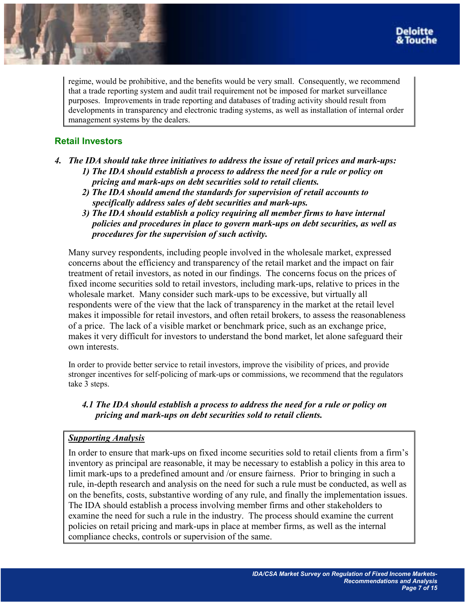<span id="page-6-0"></span>regime, would be prohibitive, and the benefits would be very small. Consequently, we recommend that a trade reporting system and audit trail requirement not be imposed for market surveillance purposes. Improvements in trade reporting and databases of trading activity should result from developments in transparency and electronic trading systems, as well as installation of internal order management systems by the dealers.

# **Retail Investors**

- *4. The IDA should take three initiatives to address the issue of retail prices and mark-ups: 1) The IDA should establish a process to address the need for a rule or policy on pricing and mark-ups on debt securities sold to retail clients.* 
	- *2) The IDA should amend the standards for supervision of retail accounts to specifically address sales of debt securities and mark-ups.*
	- *3) The IDA should establish a policy requiring all member firms to have internal policies and procedures in place to govern mark-ups on debt securities, as well as procedures for the supervision of such activity.*

Many survey respondents, including people involved in the wholesale market, expressed concerns about the efficiency and transparency of the retail market and the impact on fair treatment of retail investors, as noted in our findings. The concerns focus on the prices of fixed income securities sold to retail investors, including mark-ups, relative to prices in the wholesale market. Many consider such mark-ups to be excessive, but virtually all respondents were of the view that the lack of transparency in the market at the retail level makes it impossible for retail investors, and often retail brokers, to assess the reasonableness of a price. The lack of a visible market or benchmark price, such as an exchange price, makes it very difficult for investors to understand the bond market, let alone safeguard their own interests.

In order to provide better service to retail investors, improve the visibility of prices, and provide stronger incentives for self-policing of mark-ups or commissions, we recommend that the regulators take 3 steps.

## *4.1 The IDA should establish a process to address the need for a rule or policy on pricing and mark-ups on debt securities sold to retail clients.*

## *Supporting Analysis*

In order to ensure that mark-ups on fixed income securities sold to retail clients from a firmís inventory as principal are reasonable, it may be necessary to establish a policy in this area to limit mark-ups to a predefined amount and /or ensure fairness. Prior to bringing in such a rule, in-depth research and analysis on the need for such a rule must be conducted, as well as on the benefits, costs, substantive wording of any rule, and finally the implementation issues. The IDA should establish a process involving member firms and other stakeholders to examine the need for such a rule in the industry. The process should examine the current policies on retail pricing and mark-ups in place at member firms, as well as the internal compliance checks, controls or supervision of the same.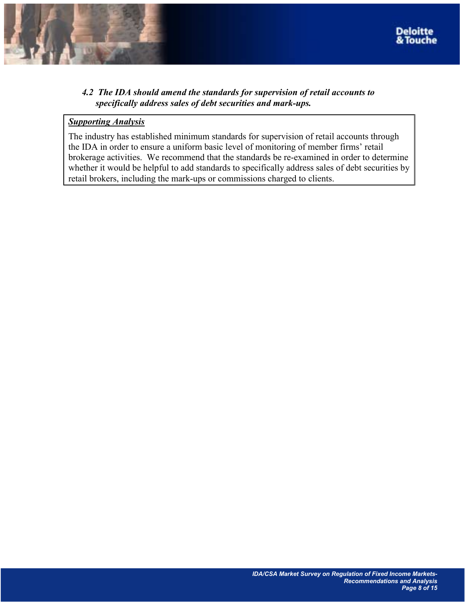

## *4.2 The IDA should amend the standards for supervision of retail accounts to specifically address sales of debt securities and mark-ups.*

#### *Supporting Analysis*

The industry has established minimum standards for supervision of retail accounts through the IDA in order to ensure a uniform basic level of monitoring of member firms' retail brokerage activities. We recommend that the standards be re-examined in order to determine whether it would be helpful to add standards to specifically address sales of debt securities by retail brokers, including the mark-ups or commissions charged to clients.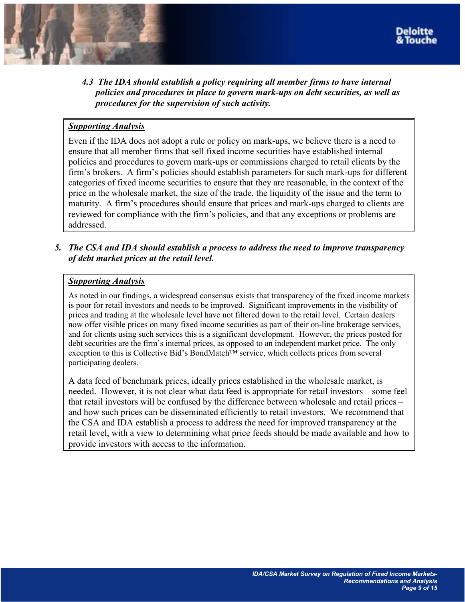

*4.3 The IDA should establish a policy requiring all member firms to have internal policies and procedures in place to govern mark-ups on debt securities, as well as procedures for the supervision of such activity.* 

## *Supporting Analysis*

Even if the IDA does not adopt a rule or policy on mark-ups, we believe there is a need to ensure that all member firms that sell fixed income securities have established internal policies and procedures to govern mark-ups or commissions charged to retail clients by the firm's brokers. A firm's policies should establish parameters for such mark-ups for different categories of fixed income securities to ensure that they are reasonable, in the context of the price in the wholesale market, the size of the trade, the liquidity of the issue and the term to maturity. A firm's procedures should ensure that prices and mark-ups charged to clients are reviewed for compliance with the firm's policies, and that any exceptions or problems are addressed.

*5. The CSA and IDA should establish a process to address the need to improve transparency of debt market prices at the retail level.* 

#### *Supporting Analysis*

As noted in our findings, a widespread consensus exists that transparency of the fixed income markets is poor for retail investors and needs to be improved. Significant improvements in the visibility of prices and trading at the wholesale level have not filtered down to the retail level. Certain dealers now offer visible prices on many fixed income securities as part of their on-line brokerage services, and for clients using such services this is a significant development. However, the prices posted for debt securities are the firm's internal prices, as opposed to an independent market price. The only exception to this is Collective Bid's BondMatch<sup>TM</sup> service, which collects prices from several participating dealers.

A data feed of benchmark prices, ideally prices established in the wholesale market, is needed. However, it is not clear what data feed is appropriate for retail investors – some feel that retail investors will be confused by the difference between wholesale and retail prices  $$ and how such prices can be disseminated efficiently to retail investors. We recommend that the CSA and IDA establish a process to address the need for improved transparency at the retail level, with a view to determining what price feeds should be made available and how to provide investors with access to the information.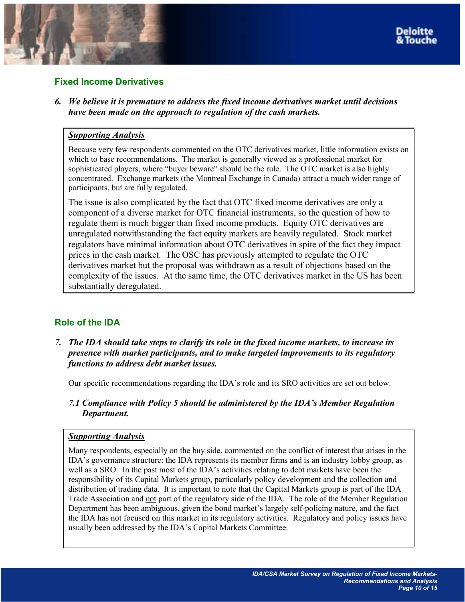

#### <span id="page-9-0"></span>**Fixed Income Derivatives**

*6. We believe it is premature to address the fixed income derivatives market until decisions have been made on the approach to regulation of the cash markets.* 

#### *Supporting Analysis*

Because very few respondents commented on the OTC derivatives market, little information exists on which to base recommendations. The market is generally viewed as a professional market for sophisticated players, where "buyer beware" should be the rule. The OTC market is also highly concentrated. Exchange markets (the Montreal Exchange in Canada) attract a much wider range of participants, but are fully regulated.

The issue is also complicated by the fact that OTC fixed income derivatives are only a component of a diverse market for OTC financial instruments, so the question of how to regulate them is much bigger than fixed income products. Equity OTC derivatives are unregulated notwithstanding the fact equity markets are heavily regulated. Stock market regulators have minimal information about OTC derivatives in spite of the fact they impact prices in the cash market. The OSC has previously attempted to regulate the OTC derivatives market but the proposal was withdrawn as a result of objections based on the complexity of the issues. At the same time, the OTC derivatives market in the US has been substantially deregulated.

## **Role of the IDA**

*7. The IDA should take steps to clarify its role in the fixed income markets, to increase its presence with market participants, and to make targeted improvements to its regulatory functions to address debt market issues.* 

Our specific recommendations regarding the IDA's role and its SRO activities are set out below.

*7.1 Compliance with Policy 5 should be administered by the IDAís Member Regulation Department.* 

#### *Supporting Analysis*

Many respondents, especially on the buy side, commented on the conflict of interest that arises in the IDA's governance structure: the IDA represents its member firms and is an industry lobby group, as well as a SRO. In the past most of the IDA's activities relating to debt markets have been the responsibility of its Capital Markets group, particularly policy development and the collection and distribution of trading data. It is important to note that the Capital Markets group is part of the IDA Trade Association and not part of the regulatory side of the IDA. The role of the Member Regulation Department has been ambiguous, given the bond market's largely self-policing nature, and the fact the IDA has not focused on this market in its regulatory activities. Regulatory and policy issues have usually been addressed by the IDA's Capital Markets Committee.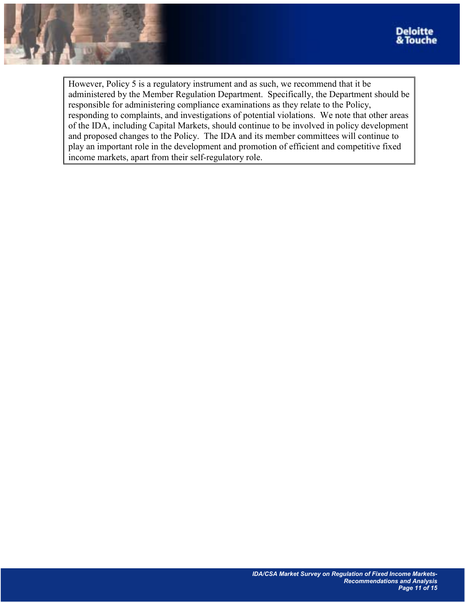

However, Policy 5 is a regulatory instrument and as such, we recommend that it be administered by the Member Regulation Department. Specifically, the Department should be responsible for administering compliance examinations as they relate to the Policy, responding to complaints, and investigations of potential violations. We note that other areas of the IDA, including Capital Markets, should continue to be involved in policy development and proposed changes to the Policy. The IDA and its member committees will continue to play an important role in the development and promotion of efficient and competitive fixed income markets, apart from their self-regulatory role.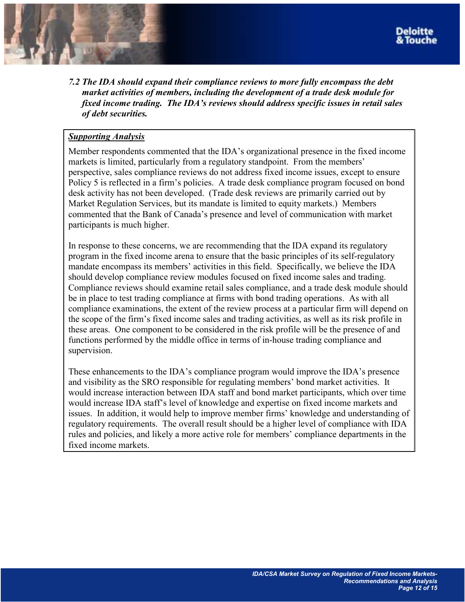

*7.2 The IDA should expand their compliance reviews to more fully encompass the debt market activities of members, including the development of a trade desk module for fixed income trading. The IDA's reviews should address specific issues in retail sales of debt securities.* 

#### *Supporting Analysis*

Member respondents commented that the IDA's organizational presence in the fixed income markets is limited, particularly from a regulatory standpoint. From the members' perspective, sales compliance reviews do not address fixed income issues, except to ensure Policy 5 is reflected in a firm's policies. A trade desk compliance program focused on bond desk activity has not been developed. (Trade desk reviews are primarily carried out by Market Regulation Services, but its mandate is limited to equity markets.) Members commented that the Bank of Canada's presence and level of communication with market participants is much higher.

In response to these concerns, we are recommending that the IDA expand its regulatory program in the fixed income arena to ensure that the basic principles of its self-regulatory mandate encompass its members' activities in this field. Specifically, we believe the IDA should develop compliance review modules focused on fixed income sales and trading. Compliance reviews should examine retail sales compliance, and a trade desk module should be in place to test trading compliance at firms with bond trading operations. As with all compliance examinations, the extent of the review process at a particular firm will depend on the scope of the firmís fixed income sales and trading activities, as well as its risk profile in these areas. One component to be considered in the risk profile will be the presence of and functions performed by the middle office in terms of in-house trading compliance and supervision.

These enhancements to the IDA's compliance program would improve the IDA's presence and visibility as the SRO responsible for regulating members' bond market activities. It would increase interaction between IDA staff and bond market participants, which over time would increase IDA staffís level of knowledge and expertise on fixed income markets and issues. In addition, it would help to improve member firms' knowledge and understanding of regulatory requirements. The overall result should be a higher level of compliance with IDA rules and policies, and likely a more active role for members' compliance departments in the fixed income markets.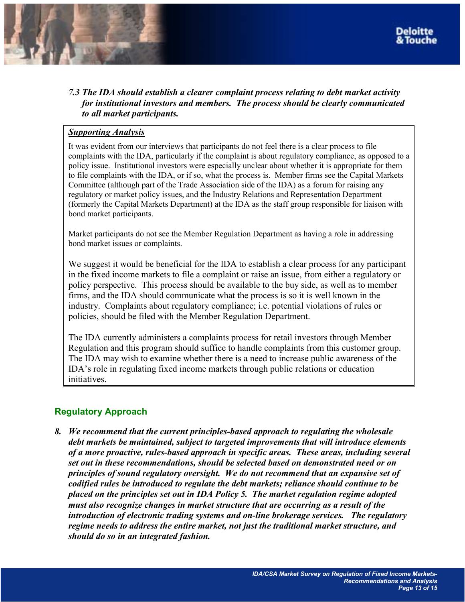<span id="page-12-0"></span>

*7.3 The IDA should establish a clearer complaint process relating to debt market activity for institutional investors and members. The process should be clearly communicated to all market participants.* 

#### *Supporting Analysis*

It was evident from our interviews that participants do not feel there is a clear process to file complaints with the IDA, particularly if the complaint is about regulatory compliance, as opposed to a policy issue. Institutional investors were especially unclear about whether it is appropriate for them to file complaints with the IDA, or if so, what the process is. Member firms see the Capital Markets Committee (although part of the Trade Association side of the IDA) as a forum for raising any regulatory or market policy issues, and the Industry Relations and Representation Department (formerly the Capital Markets Department) at the IDA as the staff group responsible for liaison with bond market participants.

Market participants do not see the Member Regulation Department as having a role in addressing bond market issues or complaints.

We suggest it would be beneficial for the IDA to establish a clear process for any participant in the fixed income markets to file a complaint or raise an issue, from either a regulatory or policy perspective. This process should be available to the buy side, as well as to member firms, and the IDA should communicate what the process is so it is well known in the industry. Complaints about regulatory compliance; i.e. potential violations of rules or policies, should be filed with the Member Regulation Department.

The IDA currently administers a complaints process for retail investors through Member Regulation and this program should suffice to handle complaints from this customer group. The IDA may wish to examine whether there is a need to increase public awareness of the IDAís role in regulating fixed income markets through public relations or education initiatives.

## **Regulatory Approach**

*8. We recommend that the current principles-based approach to regulating the wholesale debt markets be maintained, subject to targeted improvements that will introduce elements of a more proactive, rules-based approach in specific areas. These areas, including several set out in these recommendations, should be selected based on demonstrated need or on principles of sound regulatory oversight. We do not recommend that an expansive set of codified rules be introduced to regulate the debt markets; reliance should continue to be placed on the principles set out in IDA Policy 5. The market regulation regime adopted must also recognize changes in market structure that are occurring as a result of the introduction of electronic trading systems and on-line brokerage services. The regulatory regime needs to address the entire market, not just the traditional market structure, and should do so in an integrated fashion.*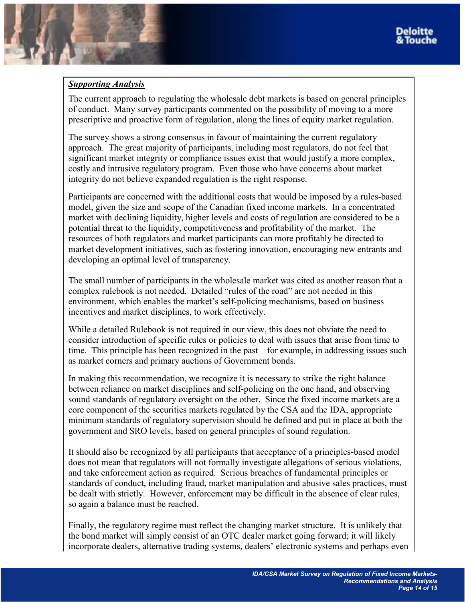#### *Supporting Analysis*

The current approach to regulating the wholesale debt markets is based on general principles of conduct. Many survey participants commented on the possibility of moving to a more prescriptive and proactive form of regulation, along the lines of equity market regulation.

The survey shows a strong consensus in favour of maintaining the current regulatory approach. The great majority of participants, including most regulators, do not feel that significant market integrity or compliance issues exist that would justify a more complex, costly and intrusive regulatory program. Even those who have concerns about market integrity do not believe expanded regulation is the right response.

Participants are concerned with the additional costs that would be imposed by a rules-based model, given the size and scope of the Canadian fixed income markets. In a concentrated market with declining liquidity, higher levels and costs of regulation are considered to be a potential threat to the liquidity, competitiveness and profitability of the market. The resources of both regulators and market participants can more profitably be directed to market development initiatives, such as fostering innovation, encouraging new entrants and developing an optimal level of transparency.

The small number of participants in the wholesale market was cited as another reason that a complex rulebook is not needed. Detailed "rules of the road" are not needed in this environment, which enables the market's self-policing mechanisms, based on business incentives and market disciplines, to work effectively.

While a detailed Rulebook is not required in our view, this does not obviate the need to consider introduction of specific rules or policies to deal with issues that arise from time to time. This principle has been recognized in the past – for example, in addressing issues such as market corners and primary auctions of Government bonds.

In making this recommendation, we recognize it is necessary to strike the right balance between reliance on market disciplines and self-policing on the one hand, and observing sound standards of regulatory oversight on the other. Since the fixed income markets are a core component of the securities markets regulated by the CSA and the IDA, appropriate minimum standards of regulatory supervision should be defined and put in place at both the government and SRO levels, based on general principles of sound regulation.

It should also be recognized by all participants that acceptance of a principles-based model does not mean that regulators will not formally investigate allegations of serious violations, and take enforcement action as required. Serious breaches of fundamental principles or standards of conduct, including fraud, market manipulation and abusive sales practices, must be dealt with strictly. However, enforcement may be difficult in the absence of clear rules, so again a balance must be reached.

Finally, the regulatory regime must reflect the changing market structure. It is unlikely that the bond market will simply consist of an OTC dealer market going forward; it will likely incorporate dealers, alternative trading systems, dealers' electronic systems and perhaps even